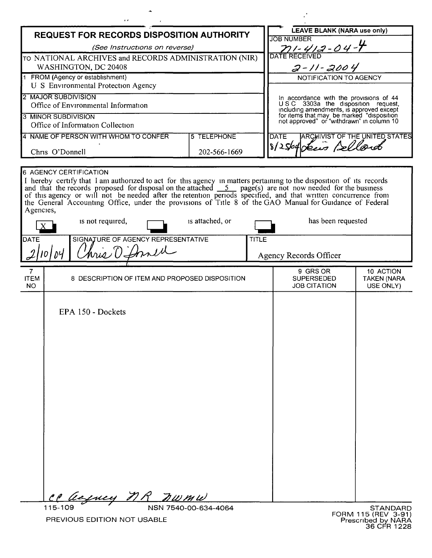|                                                                                        | r e                                                                                                                                                                                                                               |                      |              |                                                                                        |                                 |
|----------------------------------------------------------------------------------------|-----------------------------------------------------------------------------------------------------------------------------------------------------------------------------------------------------------------------------------|----------------------|--------------|----------------------------------------------------------------------------------------|---------------------------------|
| REQUEST FOR RECORDS DISPOSITION AUTHORITY                                              |                                                                                                                                                                                                                                   |                      |              | <b>LEAVE BLANK (NARA use only)</b>                                                     |                                 |
| (See Instructions on reverse)<br>TO NATIONAL ARCHIVES and RECORDS ADMINISTRATION (NIR) |                                                                                                                                                                                                                                   |                      |              | <b>JOB NUMBER</b><br>71-412-04-4                                                       |                                 |
|                                                                                        |                                                                                                                                                                                                                                   |                      |              |                                                                                        |                                 |
| 1 FROM (Agency or establishment)<br>U S Environmental Protection Agency                |                                                                                                                                                                                                                                   |                      |              | NOTIFICATION TO AGENCY                                                                 |                                 |
| 2 MAJOR SUBDIVISION                                                                    |                                                                                                                                                                                                                                   |                      |              | In accordance with the provisions of 44                                                |                                 |
| Office of Environmental Information                                                    |                                                                                                                                                                                                                                   |                      |              | USC 3303a the disposition request,<br>including amendments, is approved except         |                                 |
| <b>3 MINOR SUBDIVISION</b><br>Office of Information Collection                         |                                                                                                                                                                                                                                   |                      |              | for items that may be marked "disposition<br>not approved" or "withdrawn" in column 10 |                                 |
|                                                                                        |                                                                                                                                                                                                                                   | <b>5 TELEPHONE</b>   |              |                                                                                        |                                 |
| 4 NAME OF PERSON WITH WHOM TO CONFER<br>Chris O'Donnell                                |                                                                                                                                                                                                                                   |                      |              | <b>ARCHIVIST OF THE UNITED STATES</b><br><b>DATE</b><br>8/25/04 Lewis Bellard          |                                 |
|                                                                                        |                                                                                                                                                                                                                                   | 202-566-1669         |              |                                                                                        |                                 |
|                                                                                        | <b>6 AGENCY CERTIFICATION</b>                                                                                                                                                                                                     |                      |              |                                                                                        |                                 |
|                                                                                        | I hereby certify that I am authorized to act for this agency in matters pertaining to the disposition of its records                                                                                                              |                      |              |                                                                                        |                                 |
|                                                                                        | and that the records proposed for disposal on the attached $\frac{5}{2}$ page(s) are not now needed for the business of this agency or will not be needed after the retention periods specified, and that written concurrence fro |                      |              |                                                                                        |                                 |
|                                                                                        | the General Accounting Office, under the provisions of Title 8 of the GAO Manual for Guidance of Federal                                                                                                                          |                      |              |                                                                                        |                                 |
| Agencies,                                                                              |                                                                                                                                                                                                                                   |                      |              |                                                                                        |                                 |
|                                                                                        | is not required,                                                                                                                                                                                                                  | is attached, or      |              | has been requested                                                                     |                                 |
| DATE                                                                                   | SIGNATURE OF AGENCY REPRESENTATIVE                                                                                                                                                                                                |                      | <b>TITLE</b> |                                                                                        |                                 |
| 101                                                                                    | hris O'Donell                                                                                                                                                                                                                     |                      |              | Agency Records Officer                                                                 |                                 |
|                                                                                        |                                                                                                                                                                                                                                   |                      |              |                                                                                        |                                 |
| $\overline{7}$<br><b>ITEM</b><br>8 DESCRIPTION OF ITEM AND PROPOSED DISPOSITION        |                                                                                                                                                                                                                                   |                      |              | 9 GRS OR<br><b>SUPERSEDED</b>                                                          | 10 ACTION<br><b>TAKEN (NARA</b> |
| NO.                                                                                    |                                                                                                                                                                                                                                   |                      |              | <b>JOB CITATION</b>                                                                    | USE ONLY)                       |
|                                                                                        |                                                                                                                                                                                                                                   |                      |              |                                                                                        |                                 |
|                                                                                        |                                                                                                                                                                                                                                   |                      |              |                                                                                        |                                 |
|                                                                                        | EPA 150 - Dockets                                                                                                                                                                                                                 |                      |              |                                                                                        |                                 |
|                                                                                        |                                                                                                                                                                                                                                   |                      |              |                                                                                        |                                 |
|                                                                                        |                                                                                                                                                                                                                                   |                      |              |                                                                                        |                                 |
|                                                                                        |                                                                                                                                                                                                                                   |                      |              |                                                                                        |                                 |
|                                                                                        |                                                                                                                                                                                                                                   |                      |              |                                                                                        |                                 |
|                                                                                        |                                                                                                                                                                                                                                   |                      |              |                                                                                        |                                 |
|                                                                                        |                                                                                                                                                                                                                                   |                      |              |                                                                                        |                                 |
|                                                                                        |                                                                                                                                                                                                                                   |                      |              |                                                                                        |                                 |
|                                                                                        |                                                                                                                                                                                                                                   |                      |              |                                                                                        |                                 |
|                                                                                        |                                                                                                                                                                                                                                   |                      |              |                                                                                        |                                 |
|                                                                                        |                                                                                                                                                                                                                                   |                      |              |                                                                                        |                                 |
|                                                                                        |                                                                                                                                                                                                                                   |                      |              |                                                                                        |                                 |
|                                                                                        |                                                                                                                                                                                                                                   |                      |              |                                                                                        |                                 |
|                                                                                        |                                                                                                                                                                                                                                   |                      |              |                                                                                        |                                 |
|                                                                                        |                                                                                                                                                                                                                                   |                      |              |                                                                                        |                                 |
|                                                                                        |                                                                                                                                                                                                                                   |                      |              |                                                                                        |                                 |
| 115-109                                                                                | CP acquey MR nwmw                                                                                                                                                                                                                 | NSN 7540-00-634-4064 |              |                                                                                        | STANDARD                        |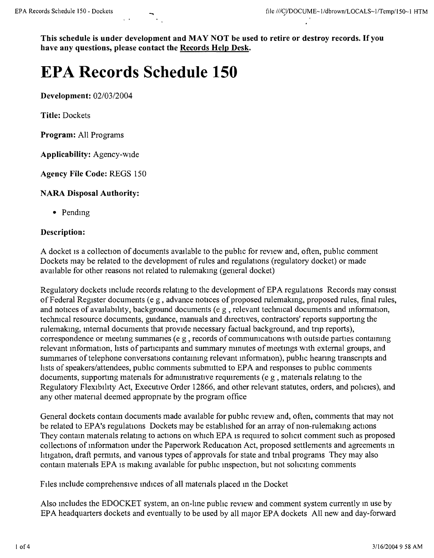**This schedule is under development and MAY NOT be used to retire or destroy records.** If you **have any questions, please contact the Records Help Desk.**

# **EPA Records Schedule 150**

**Development:** *02/0312004*

**Title:** Dockets

**Program:** All Programs

**Applicability:** Agency-wide

**Agency File Code:** REGS 150

### **NARA Disposal Authority:**

• Pending

#### **Description:**

A docket is a collection of documents available to the public for review and, often, public comment Dockets may be related to the development of rules and regulations (regulatory docket) or made available for other reasons not related to rulemakmg (general docket)

Regulatory dockets include records relating to the development of EPA regulations Records may consist of Federal Register documents (e g, advance notices of proposed rulemakmg, proposed rules, final rules, and notices of availability, background documents (e g, relevant techmcal documents and mformation, technical resource documents, guidance, manuals and directives, contractors' reports supportmg the rulemaking, internal documents that provide necessary factual background, and trip reports), correspondence or meeting summaries ( $e \rho$ , records of communications with outside parties containing relevant information, lists of participants and summary minutes of meetings with external groups, and summaries of telephone conversations containing relevant information), public hearing transcripts and lists of speakers/attendees, pubhc comments submitted to EPA and responses to public comments documents, supportmg matenals for adnnrustratrve requirements (e g , matenals relatmg to the Regulatory Flexibility Act, Executive Order 12866, and other relevant statutes, orders, and pohcies), and any other matenal deemed appropnate by the program office

General dockets contam documents made available for public review and, often, comments that may not be related to EPA's regulations Dockets may be established for an array of non-rulemaking actions They contain materials relating to actions on which EPA is required to solicit comment such as proposed collections of information under the Paperwork Reducation Act, proposed settlements and agreements in hitigation, draft permits, and various types of approvals for state and tribal programs They may also contain materials EPA is making available for public inspection, but not soliciting comments

FIles mc1ude comprehensive indices of all matenals placed m the Docket

Also includes the EDOCKET system, an on-line public review and comment system currently in use by EPA headquarters dockets and eventually to be used by all major EPA dockets All new and day-forward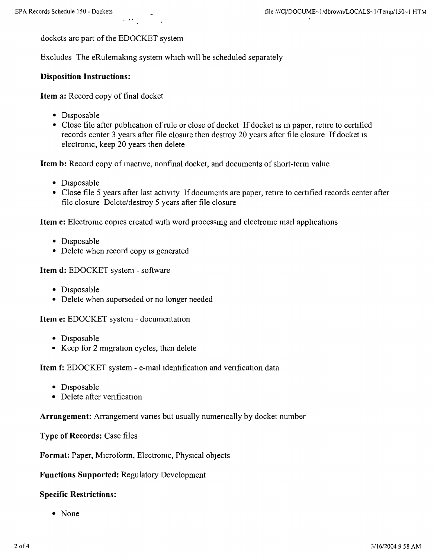dockets are part of the EDOCKET system

. "

Excludes The eRulemaking system which will be scheduled separately

# Disposition Instructions:

Item a: Record copy of final docket

- Disposable
- Close file after publication of rule or close of docket If docket is in paper, retire to certified records center 3 years after file closure then destroy 20 years after file closure If docket IS electroruc, keep 20 years then delete

Item b: Record copy of inactive, nonfinal docket, and documents of short-term value

- Disposable
- Close file 5 years after last activity If documents are paper, retire to certified records center after file closure Delete/destroy 5 years after file closure

Item c: Electronic copies created with word processing and electronic mail applications

- Disposable
- Delete when record copy is generated

Item d: EDOCKET system - software

- Disposable
- Delete when superseded or no longer needed

Item e: EDOCKET system - documentation

- Disposable
- Keep for 2 migration cycles, then delete

Item f: EDOCKET system - e-mail identification and verification data

- Disposable
- Delete after venfication

Arrangement: Arrangement varies but usually numerically by docket number

Type of Records: Case files

Format: Paper, Microform, Electroruc, Physical objects

#### Functions Supported: Regulatory Development

#### Specific Restrictions:

• None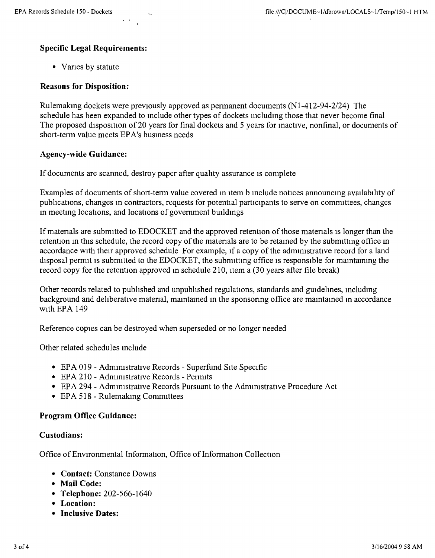## Specific Legal Requirements:

• Vanes by statute

## Reasons for Disposition:

Rulemakmg dockets were previously approved as permanent documents (N1-412-94-2124) The schedule has been expanded to mclude other types of dockets mcludmg those that never become final The proposed disposition of 20 years for final dockets and 5 years for inactive, nonfinal, or documents of short-term value meets EPA's busmess needs

#### Agency-wide Guidance:

If documents are scanned, destroy paper after quality assurance is complete

Examples of documents of short-term value covered in Item b mclude notices announcmg availabihty of pubhcations, changes m contractors, requests for potential participants to serve on comnuttecs, changes m meetmg locations, and locations of govemment buildings

If materials are submitted to EDOCKET and the approved retention of those materials is longer than the retention in this schedule, the record copy of the materials are to be retained by the submitting office in accordance with their approved schedule For example, if a copy of the administrative record for a land disposal permit is submitted to the EDOCKET, the submitting office is responsible for maintaining the record copy for the retention approved in schedule 210, item a (30 years after file break)

Other records related to published and unpublished regulations, standards and guidelmes, mcludmg background and deliberative matenal, mamtamed m the sponsonng office are mamtamed m accordance WIth EPA 149

Reference copies can be destroyed when superseded or no longer needed

Other related schedules mclude

- EPA 019 Administrative Records Superfund Site Specific
- EPA 210 Administrative Records Permits
- EPA 294 Administrative Records Pursuant to the Administrative Procedure Act
- EPA 518 Rulemaking Committees

## Program Office Guidance:

#### Custodians:

Office of Environmental Information, Office of Information Collection

- Contact: Constance Downs
- Mail Code:
- Telephone: 202-566-1640
- Location:
- Inclusive Dates: